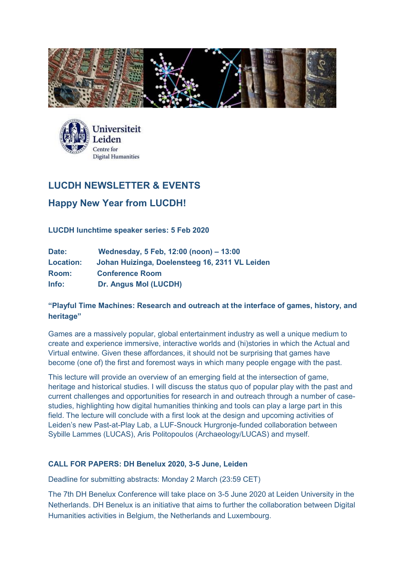



# **LUCDH NEWSLETTER & EVENTS**

# **Happy New Year from LUCDH!**

**LUCDH lunchtime speaker series: 5 Feb 2020**

| Date:            | Wednesday, 5 Feb, 12:00 (noon) - 13:00         |
|------------------|------------------------------------------------|
| <b>Location:</b> | Johan Huizinga, Doelensteeg 16, 2311 VL Leiden |
| Room:            | <b>Conference Room</b>                         |
| Info:            | Dr. Angus Mol (LUCDH)                          |

# **"Playful Time Machines: Research and outreach at the interface of games, history, and heritage"**

Games are a massively popular, global entertainment industry as well a unique medium to create and experience immersive, interactive worlds and (hi)stories in which the Actual and Virtual entwine. Given these affordances, it should not be surprising that games have become (one of) the first and foremost ways in which many people engage with the past.

This lecture will provide an overview of an emerging field at the intersection of game, heritage and historical studies. I will discuss the status quo of popular play with the past and current challenges and opportunities for research in and outreach through a number of casestudies, highlighting how digital humanities thinking and tools can play a large part in this field. The lecture will conclude with a first look at the design and upcoming activities of Leiden's new Past-at-Play Lab, a LUF-Snouck Hurgronje-funded collaboration between Sybille Lammes (LUCAS), Aris Politopoulos (Archaeology/LUCAS) and myself.

## **CALL FOR PAPERS: DH Benelux 2020, 3-5 June, Leiden**

Deadline for submitting abstracts: Monday 2 March (23:59 CET)

The 7th DH Benelux Conference will take place on 3-5 June 2020 at Leiden University in the Netherlands. DH Benelux is an initiative that aims to further the collaboration between Digital Humanities activities in Belgium, the Netherlands and Luxembourg.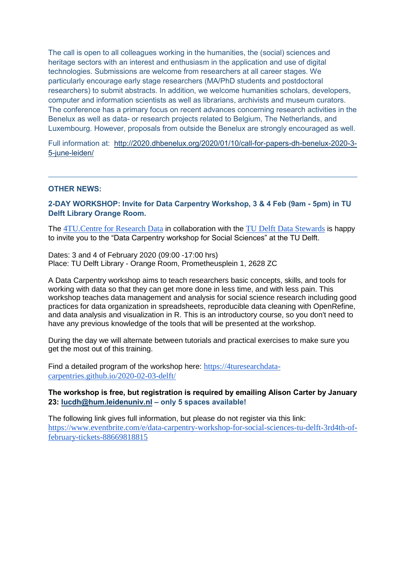The call is open to all colleagues working in the humanities, the (social) sciences and heritage sectors with an interest and enthusiasm in the application and use of digital technologies. Submissions are welcome from researchers at all career stages. We particularly encourage early stage researchers (MA/PhD students and postdoctoral researchers) to submit abstracts. In addition, we welcome humanities scholars, developers, computer and information scientists as well as librarians, archivists and museum curators. The conference has a primary focus on recent advances concerning research activities in the Benelux as well as data- or research projects related to Belgium, The Netherlands, and Luxembourg. However, proposals from outside the Benelux are strongly encouraged as well.

Full information at: [http://2020.dhbenelux.org/2020/01/10/call-for-papers-dh-benelux-2020-3-](http://2020.dhbenelux.org/2020/01/10/call-for-papers-dh-benelux-2020-3-5-june-leiden/) [5-june-leiden/](http://2020.dhbenelux.org/2020/01/10/call-for-papers-dh-benelux-2020-3-5-june-leiden/)

#### **OTHER NEWS:**

**2-DAY WORKSHOP: Invite for Data Carpentry Workshop, 3 & 4 Feb (9am - 5pm) in TU Delft Library Orange Room.**

The [4TU.Centre for Research Data](https://researchdata.4tu.nl/) in collaboration with the [TU Delft Data Stewards](https://www.tudelft.nl/en/library/current-topics/research-data-management/r/support/data-stewardship/contact/) is happy to invite you to the "Data Carpentry workshop for Social Sciences" at the TU Delft.

Dates: 3 and 4 of February 2020 (09:00 -17:00 hrs) Place: TU Delft Library - Orange Room, Prometheusplein 1, 2628 ZC

A Data Carpentry workshop aims to teach researchers basic concepts, skills, and tools for working with data so that they can get more done in less time, and with less pain. This workshop teaches data management and analysis for social science research including good practices for data organization in spreadsheets, reproducible data cleaning with OpenRefine, and data analysis and visualization in R. This is an introductory course, so you don't need to have any previous knowledge of the tools that will be presented at the workshop.

During the day we will alternate between tutorials and practical exercises to make sure you get the most out of this training.

Find a detailed program of the workshop here: [https://4turesearchdata](https://4turesearchdata-carpentries.github.io/2020-02-03-delft/)[carpentries.github.io/2020-02-03-delft/](https://4turesearchdata-carpentries.github.io/2020-02-03-delft/)

### **The workshop is free, but registration is required by emailing Alison Carter by January 23: [lucdh@hum.leidenuniv.nl](mailto:lucdh@hum.leidenuniv.nl) – only 5 spaces available!**

The following link gives full information, but please do not register via this link: [https://www.eventbrite.com/e/data-carpentry-workshop-for-social-sciences-tu-delft-3rd4th-of](https://urldefense.proofpoint.com/v2/url?u=https-3A__www.eventbrite.com_e_data-2Dcarpentry-2Dworkshop-2Dfor-2Dsocial-2Dsciences-2Dtu-2Ddelft-2D3rd4th-2Dof-2Dfebruary-2Dtickets-2D88669818815&d=DwMGaQ&c=XYzUhXBD2cD-CornpT4QE19xOJBbRy-TBPLK0X9U2o8&r=1WvTW1368gqUCJXzUBtJfcKj7nTm_kfD1VajEg8x7TQ&m=6cB3UfdUqP4Hkf9YAMgZ-oQ7U0qEFgqvsqpZ2zDjUP4&s=1fmcWt-uiCc6li6oDRfW_P0-9O8PcKOuGbd27iw3fJw&e=)[february-tickets-88669818815](https://urldefense.proofpoint.com/v2/url?u=https-3A__www.eventbrite.com_e_data-2Dcarpentry-2Dworkshop-2Dfor-2Dsocial-2Dsciences-2Dtu-2Ddelft-2D3rd4th-2Dof-2Dfebruary-2Dtickets-2D88669818815&d=DwMGaQ&c=XYzUhXBD2cD-CornpT4QE19xOJBbRy-TBPLK0X9U2o8&r=1WvTW1368gqUCJXzUBtJfcKj7nTm_kfD1VajEg8x7TQ&m=6cB3UfdUqP4Hkf9YAMgZ-oQ7U0qEFgqvsqpZ2zDjUP4&s=1fmcWt-uiCc6li6oDRfW_P0-9O8PcKOuGbd27iw3fJw&e=)